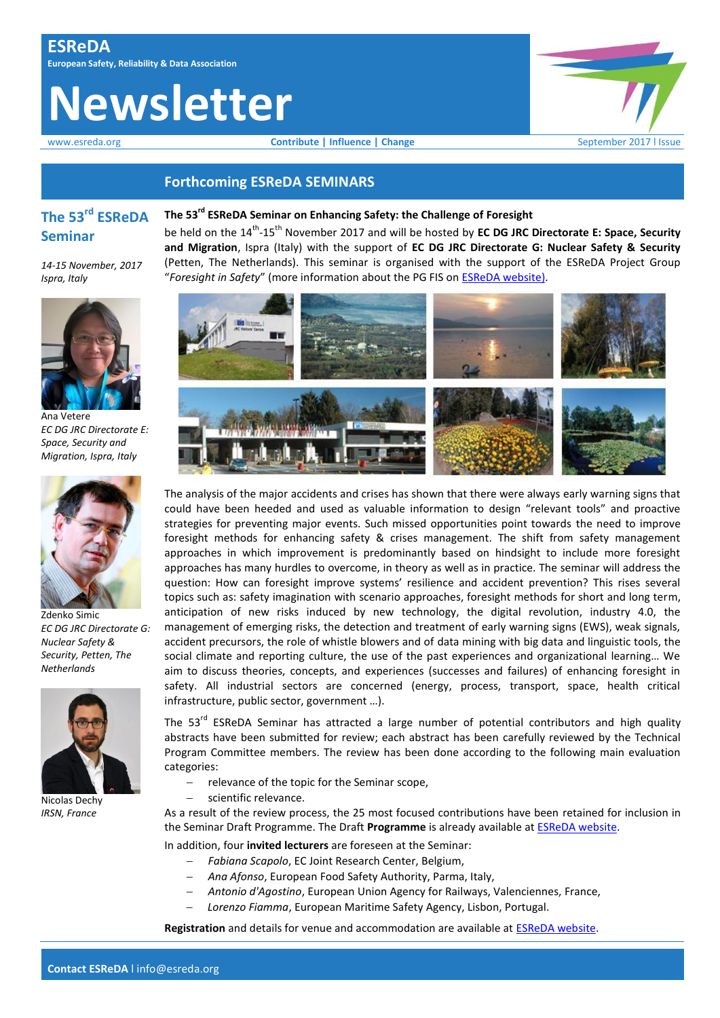# **Newsletter**

www.esreda.org **Contribute | Influence | Change** September 2017 | Issue



## **Forthcoming ESReDA SEMINARS**

# **The 53rd ESReDA Seminar**

*14-15 November, 2017 Ispra, Italy*



Ana Vetere *EC DG JRC Directorate E: Space, Security and Migration, Ispra, Italy* 



Zdenko Simic *EC DG JRC Directorate G: Nuclear Safety & Security, Petten, The Netherlands*



Nicolas Dechy *IRSN, France*



be held on the 14<sup>th</sup>-15<sup>th</sup> November 2017 and will be hosted by **EC DG JRC Directorate E: Space, Security and Migration**, Ispra (Italy) with the support of **EC DG JRC Directorate G: Nuclear Safety & Security** (Petten, The Netherlands). This seminar is organised with the support of the ESReDA Project Group "*Foresight in Safety*" (more information about the PG FIS on [ESReDA website\)](https://www.esreda.org/projectcasestudy/foresight-in-safety/).



The analysis of the major accidents and crises has shown that there were always early warning signs that could have been heeded and used as valuable information to design "relevant tools" and proactive strategies for preventing major events. Such missed opportunities point towards the need to improve foresight methods for enhancing safety & crises management. The shift from safety management approaches in which improvement is predominantly based on hindsight to include more foresight approaches has many hurdles to overcome, in theory as well as in practice. The seminar will address the question: How can foresight improve systems' resilience and accident prevention? This rises several topics such as: safety imagination with scenario approaches, foresight methods for short and long term, anticipation of new risks induced by new technology, the digital revolution, industry 4.0, the management of emerging risks, the detection and treatment of early warning signs (EWS), weak signals, accident precursors, the role of whistle blowers and of data mining with big data and linguistic tools, the social climate and reporting culture, the use of the past experiences and organizational learning… We aim to discuss theories, concepts, and experiences (successes and failures) of enhancing foresight in safety. All industrial sectors are concerned (energy, process, transport, space, health critical infrastructure, public sector, government …).

The 53<sup>rd</sup> ESReDA Seminar has attracted a large number of potential contributors and high quality abstracts have been submitted for review; each abstract has been carefully reviewed by the Technical Program Committee members. The review has been done according to the following main evaluation categories:

- relevance of the topic for the Seminar scope,
- scientific relevance.

As a result of the review process, the 25 most focused contributions have been retained for inclusion in the Seminar Draft Programme. The Draft **Programme** is already available at [ESReDA website.](https://www.esreda.org/event/53rd-esreda-seminar/)

- In addition, four **invited lecturers** are foreseen at the Seminar:
	- *Fabiana Scapolo*, EC Joint Research Center, Belgium,
		- *Ana Afonso*, European Food Safety Authority, Parma, Italy,
	- *Antonio d'Agostino*, European Union Agency for Railways, Valenciennes, France,
	- *Lorenzo Fiamma*, European Maritime Safety Agency, Lisbon, Portugal.

**Registration** and details for venue and accommodation are available at [ESReDA website.](https://www.esreda.org/event/53rd-esreda-seminar/)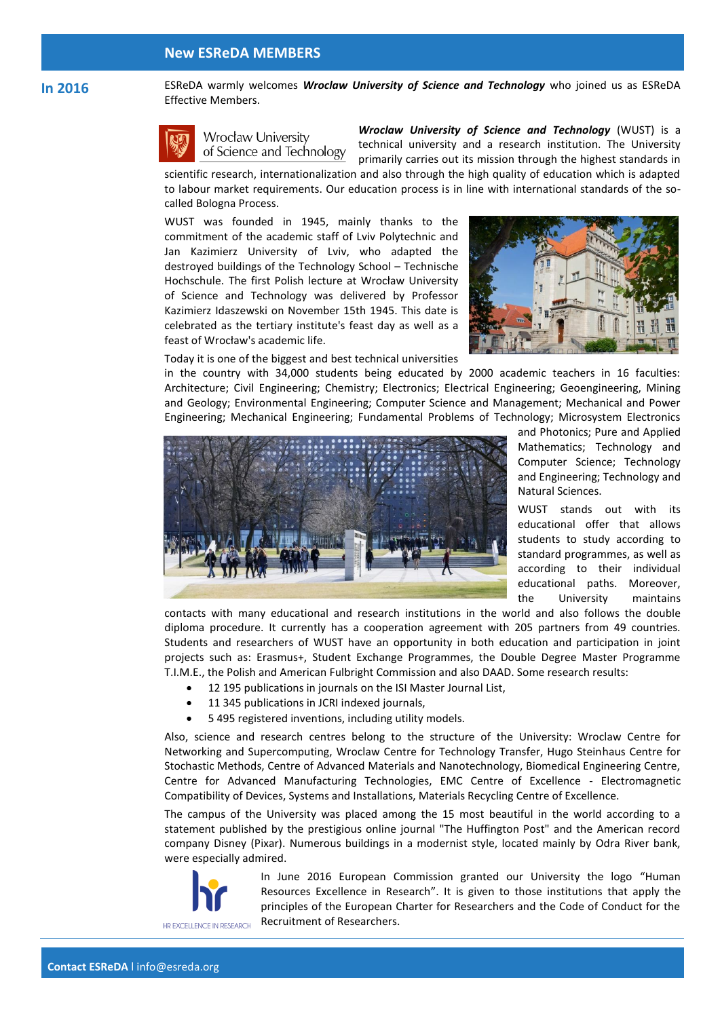#### **New ESReDA MEMBERS**

#### **In 2016** ESReDA warmly welcomes *Wroclaw University of Science and Technology* who joined us as ESReDA Effective Members.



Wrocław University of Science and Technology

*Wroclaw University of Science and Technology* (WUST) is a technical university and a research institution. The University primarily carries out its mission through the highest standards in scientific research, internationalization and also through the high quality of education which is adapted

to labour market requirements. Our education process is in line with international standards of the socalled Bologna Process.

WUST was founded in 1945, mainly thanks to the commitment of the academic staff of Lviv Polytechnic and Jan Kazimierz University of Lviv, who adapted the destroyed buildings of the Technology School – Technische Hochschule. The first Polish lecture at Wrocław University of Science and Technology was delivered by Professor Kazimierz Idaszewski on November 15th 1945. This date is celebrated as the tertiary institute's feast day as well as a feast of Wrocław's academic life.



Today it is one of the biggest and best technical universities

in the country with 34,000 students being educated by 2000 academic teachers in 16 faculties: Architecture; Civil Engineering; Chemistry; Electronics; Electrical Engineering; Geoengineering, Mining and Geology; Environmental Engineering; Computer Science and Management; Mechanical and Power Engineering; Mechanical Engineering; Fundamental Problems of Technology; Microsystem Electronics



and Photonics; Pure and Applied Mathematics; Technology and Computer Science; Technology and Engineering; Technology and Natural Sciences.

WUST stands out with its educational offer that allows students to study according to standard programmes, as well as according to their individual educational paths. Moreover, the University maintains

contacts with many educational and research institutions in the world and also follows the double diploma procedure. It currently has a cooperation agreement with 205 partners from 49 countries. Students and researchers of WUST have an opportunity in both education and participation in joint projects such as: Erasmus+, Student Exchange Programmes, the Double Degree Master Programme T.I.M.E., the Polish and American Fulbright Commission and also DAAD. Some research results:

- 12 195 publications in journals on the ISI Master Journal List,
- 11 345 publications in JCRI indexed journals,
- 5 495 registered inventions, including utility models.

Also, science and research centres belong to the structure of the University: Wroclaw Centre for Networking and Supercomputing, Wroclaw Centre for Technology Transfer, Hugo Steinhaus Centre for Stochastic Methods, Centre of Advanced Materials and Nanotechnology, Biomedical Engineering Centre, Centre for Advanced Manufacturing Technologies, EMC Centre of Excellence - Electromagnetic Compatibility of Devices, Systems and Installations, Materials Recycling Centre of Excellence.

The campus of the University was placed among the 15 most beautiful in the world according to a statement published by the prestigious online journal "The Huffington Post" and the American record company Disney (Pixar). Numerous buildings in a modernist style, located mainly by Odra River bank, were especially admired.



In June 2016 European Commission granted our University the logo "Human Resources Excellence in Research". It is given to those institutions that apply the principles of the European Charter for Researchers and the Code of Conduct for the Recruitment of Researchers.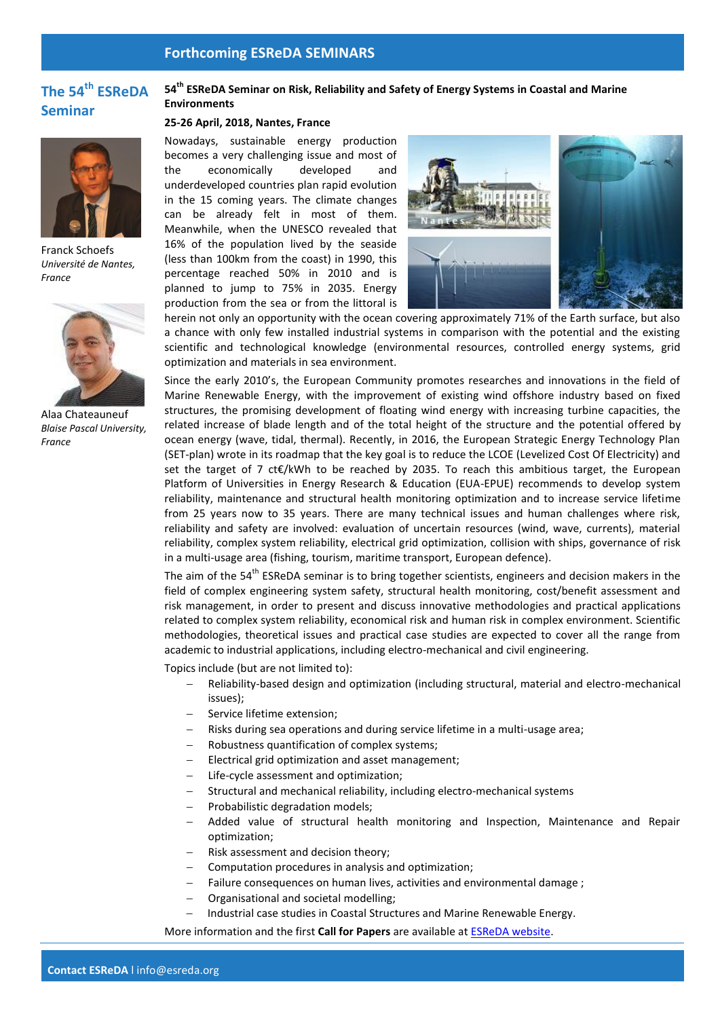## **Forthcoming ESReDA SEMINARS**

# **The 54th ESReDA Seminar**



Franck Schoefs *Université de Nantes, France*



Alaa Chateauneuf *Blaise Pascal University, France* 

## **54th ESReDA Seminar on Risk, Reliability and Safety of Energy Systems in Coastal and Marine Environments**

#### **25-26 April, 2018, Nantes, France**

Nowadays, sustainable energy production becomes a very challenging issue and most of the economically developed and underdeveloped countries plan rapid evolution in the 15 coming years. The climate changes can be already felt in most of them. Meanwhile, when the UNESCO revealed that 16% of the population lived by the seaside (less than 100km from the coast) in 1990, this percentage reached 50% in 2010 and is planned to jump to 75% in 2035. Energy production from the sea or from the littoral is



herein not only an opportunity with the ocean covering approximately 71% of the Earth surface, but also a chance with only few installed industrial systems in comparison with the potential and the existing scientific and technological knowledge (environmental resources, controlled energy systems, grid optimization and materials in sea environment.

Since the early 2010's, the European Community promotes researches and innovations in the field of Marine Renewable Energy, with the improvement of existing wind offshore industry based on fixed structures, the promising development of floating wind energy with increasing turbine capacities, the related increase of blade length and of the total height of the structure and the potential offered by ocean energy (wave, tidal, thermal). Recently, in 2016, the European Strategic Energy Technology Plan (SET-plan) wrote in its roadmap that the key goal is to reduce the LCOE (Levelized Cost Of Electricity) and set the target of 7 ct€/kWh to be reached by 2035. To reach this ambitious target, the European Platform of Universities in Energy Research & Education (EUA-EPUE) recommends to develop system reliability, maintenance and structural health monitoring optimization and to increase service lifetime from 25 years now to 35 years. There are many technical issues and human challenges where risk, reliability and safety are involved: evaluation of uncertain resources (wind, wave, currents), material reliability, complex system reliability, electrical grid optimization, collision with ships, governance of risk in a multi-usage area (fishing, tourism, maritime transport, European defence).

The aim of the 54<sup>th</sup> ESReDA seminar is to bring together scientists, engineers and decision makers in the field of complex engineering system safety, structural health monitoring, cost/benefit assessment and risk management, in order to present and discuss innovative methodologies and practical applications related to complex system reliability, economical risk and human risk in complex environment. Scientific methodologies, theoretical issues and practical case studies are expected to cover all the range from academic to industrial applications, including electro-mechanical and civil engineering.

Topics include (but are not limited to):

- Reliability-based design and optimization (including structural, material and electro-mechanical issues);
- Service lifetime extension;
- Risks during sea operations and during service lifetime in a multi-usage area;
- Robustness quantification of complex systems;
- Electrical grid optimization and asset management;
- Life-cycle assessment and optimization;
- Structural and mechanical reliability, including electro-mechanical systems
- Probabilistic degradation models;
- Added value of structural health monitoring and Inspection, Maintenance and Repair optimization;
- Risk assessment and decision theory;
- Computation procedures in analysis and optimization;
- Failure consequences on human lives, activities and environmental damage ;
- Organisational and societal modelling;
- Industrial case studies in Coastal Structures and Marine Renewable Energy.

More information and the first **Call for Papers** are available a[t ESReDA website.](https://www.esreda.org/event/54th-esreda-seminar/)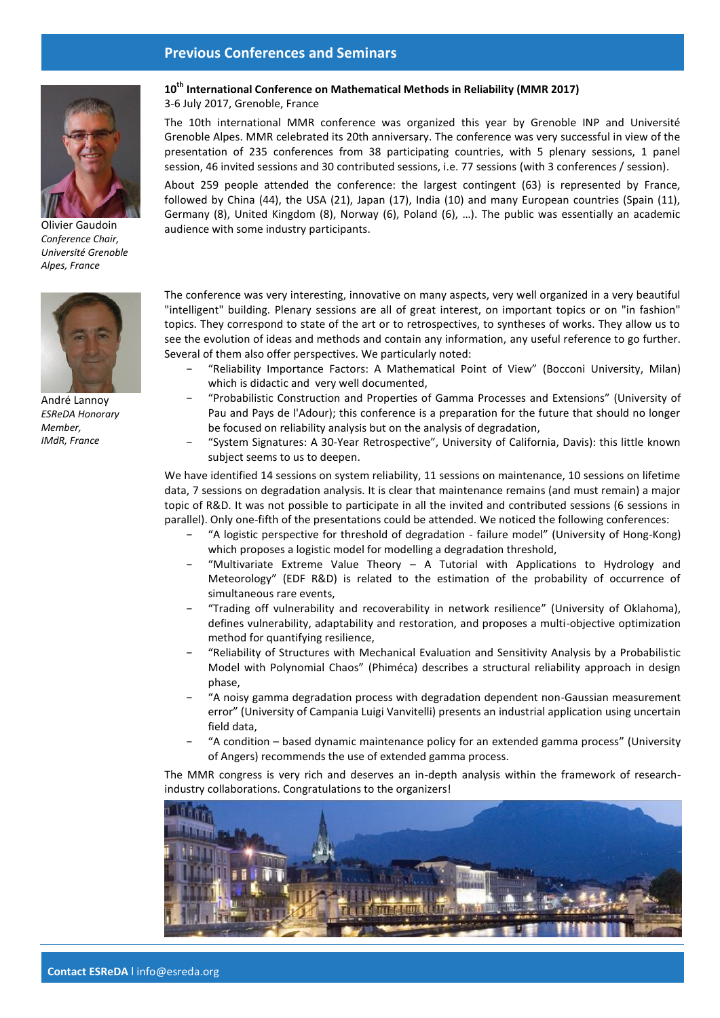## **Previous Conferences and Seminars**



Olivier Gaudoin *Conference Chair, Université Grenoble Alpes, France*



André Lannoy *ESReDA Honorary Member, IMdR, France*

## **10th International Conference on Mathematical Methods in Reliability (MMR 2017)**

3-6 July 2017, Grenoble, France

The 10th international MMR conference was organized this year by Grenoble INP and Université Grenoble Alpes. MMR celebrated its 20th anniversary. The conference was very successful in view of the presentation of 235 conferences from 38 participating countries, with 5 plenary sessions, 1 panel session, 46 invited sessions and 30 contributed sessions, i.e. 77 sessions (with 3 conferences / session).

About 259 people attended the conference: the largest contingent (63) is represented by France, followed by China (44), the USA (21), Japan (17), India (10) and many European countries (Spain (11), Germany (8), United Kingdom (8), Norway (6), Poland (6), …). The public was essentially an academic audience with some industry participants.

The conference was very interesting, innovative on many aspects, very well organized in a very beautiful "intelligent" building. Plenary sessions are all of great interest, on important topics or on "in fashion" topics. They correspond to state of the art or to retrospectives, to syntheses of works. They allow us to see the evolution of ideas and methods and contain any information, any useful reference to go further. Several of them also offer perspectives. We particularly noted:

- − "Reliability Importance Factors: A Mathematical Point of View" (Bocconi University, Milan) which is didactic and very well documented,
- − "Probabilistic Construction and Properties of Gamma Processes and Extensions" (University of Pau and Pays de l'Adour); this conference is a preparation for the future that should no longer be focused on reliability analysis but on the analysis of degradation,
- − "System Signatures: A 30-Year Retrospective", University of California, Davis): this little known subject seems to us to deepen.

We have identified 14 sessions on system reliability, 11 sessions on maintenance, 10 sessions on lifetime data, 7 sessions on degradation analysis. It is clear that maintenance remains (and must remain) a major topic of R&D. It was not possible to participate in all the invited and contributed sessions (6 sessions in parallel). Only one-fifth of the presentations could be attended. We noticed the following conferences:

- − "A logistic perspective for threshold of degradation failure model" (University of Hong-Kong) which proposes a logistic model for modelling a degradation threshold,
- "Multivariate Extreme Value Theory A Tutorial with Applications to Hydrology and Meteorology" (EDF R&D) is related to the estimation of the probability of occurrence of simultaneous rare events,
- − "Trading off vulnerability and recoverability in network resilience" (University of Oklahoma), defines vulnerability, adaptability and restoration, and proposes a multi-objective optimization method for quantifying resilience,
- − "Reliability of Structures with Mechanical Evaluation and Sensitivity Analysis by a Probabilistic Model with Polynomial Chaos" (Phiméca) describes a structural reliability approach in design phase,
- − "A noisy gamma degradation process with degradation dependent non-Gaussian measurement error" (University of Campania Luigi Vanvitelli) presents an industrial application using uncertain field data,
- − "A condition based dynamic maintenance policy for an extended gamma process" (University of Angers) recommends the use of extended gamma process.

The MMR congress is very rich and deserves an in-depth analysis within the framework of researchindustry collaborations. Congratulations to the organizers!